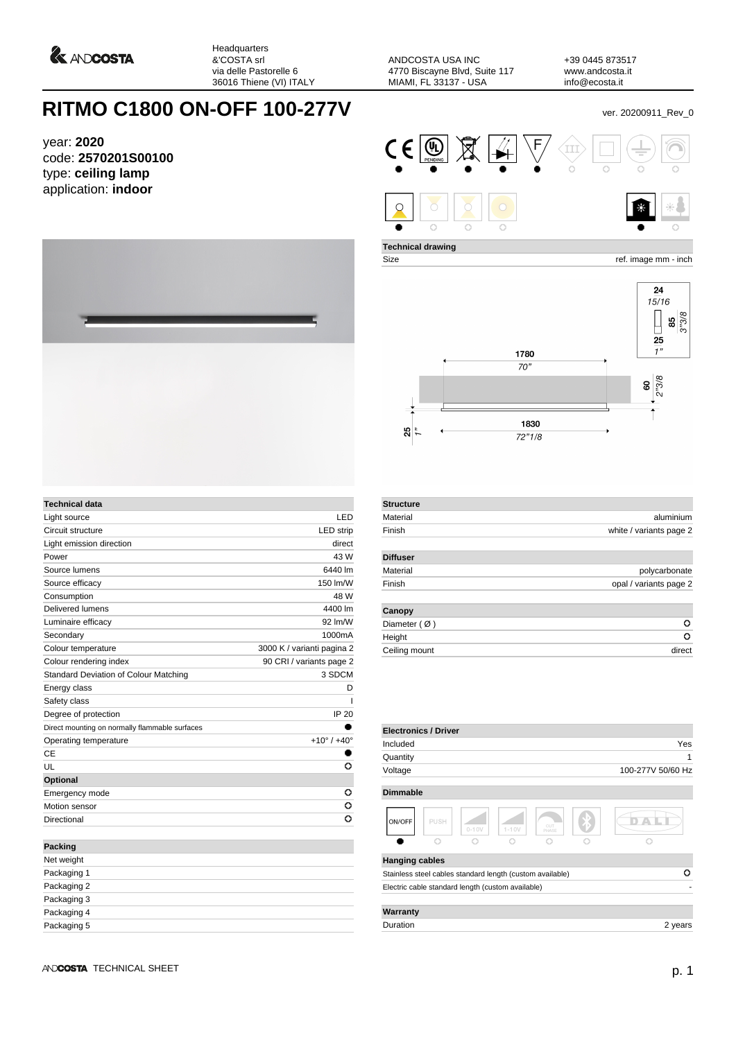

Headquarters &'COSTA srl via delle Pastorelle 6 36016 Thiene (VI) ITALY

ANDCOSTA USA INC 4770 Biscayne Blvd, Suite 117 MIAMI, FL 33137 - USA

**Technical drawing**

+39 0445 873517 www.andcosta.it info@ecosta.it

٦

## **RITMO C1800 ON-OFF 100-277V** ver. 20200911\_Rev\_0

year: **2020** code: **2570201S00100** type: **ceiling lamp** application: **indoor**



Size ref. image mm - inch



| <b>Technical data</b>                          |                               |
|------------------------------------------------|-------------------------------|
| Light source                                   | LED                           |
| Circuit structure                              | <b>LED</b> strip              |
| Light emission direction                       | direct                        |
| Power                                          | 43 W                          |
| Source lumens                                  | 6440 lm                       |
| Source efficacy                                | 150 lm/W                      |
| Consumption                                    | 48 W                          |
| Delivered lumens                               | 4400 lm                       |
| Luminaire efficacy                             | 92 Im/W                       |
| Secondary                                      | 1000mA                        |
| Colour temperature                             | 3000 K / varianti pagina 2    |
| Colour rendering index                         | 90 CRI / variants page 2      |
| Standard Deviation of Colour Matching          | 3 SDCM                        |
| Energy class                                   | D                             |
| Safety class                                   | ı                             |
| Degree of protection                           | IP 20                         |
| Direct mounting on normally flammable surfaces |                               |
| Operating temperature                          | $+10^{\circ}$ / $+40^{\circ}$ |
| CE                                             |                               |
| U                                              | O                             |
| <b>Optional</b>                                |                               |
| Emergency mode                                 | o                             |
| Motion sensor                                  | o                             |
| Directional                                    | O                             |
|                                                |                               |
| <b>Packing</b>                                 |                               |
| Net weight                                     |                               |
| Packaging 1                                    |                               |
| Packaging 2                                    |                               |
|                                                |                               |

|                |        | 24<br>15/16<br>3"3/8<br>85<br>25 |
|----------------|--------|----------------------------------|
|                | 1780   | 1"                               |
|                | 70"    |                                  |
|                |        | $2^{18}$ 3/8<br>$\mathbf{S}$     |
|                |        |                                  |
| $\frac{1}{25}$ | 1830   |                                  |
|                | 72"1/8 |                                  |

| <b>Structure</b>       |                         |
|------------------------|-------------------------|
| Material               | aluminium               |
| Finish                 | white / variants page 2 |
| <b>Diffuser</b>        |                         |
| Material               | polycarbonate           |
| Finish                 | opal / variants page 2  |
| Canopy                 |                         |
| Diameter $(\emptyset)$ | o                       |
| Height                 | o                       |
| Ceiling mount          | direct                  |

| <b>Electronics / Driver</b> |      |                                                           |           |              |                   |
|-----------------------------|------|-----------------------------------------------------------|-----------|--------------|-------------------|
| Included                    |      |                                                           |           |              | Yes               |
| Quantity                    |      |                                                           |           |              | 1                 |
| Voltage                     |      |                                                           |           |              | 100-277V 50/60 Hz |
| <b>Dimmable</b>             |      |                                                           |           |              |                   |
| ON/OFF                      | PUSH | $0 - 10V$                                                 | $1 - 10V$ | CUT<br>PHASE |                   |
|                             |      |                                                           |           |              |                   |
| <b>Hanging cables</b>       |      |                                                           |           |              |                   |
|                             |      | Stainless steel cables standard length (custom available) |           |              | Ω                 |
|                             |      | Electric cable standard length (custom available)         |           |              |                   |
| Warranty                    |      |                                                           |           |              |                   |
| Duration                    |      |                                                           |           |              | 2 years           |

| Packaging 2 |  |  |
|-------------|--|--|
| Packaging 3 |  |  |

Packaging 4 Packaging 5